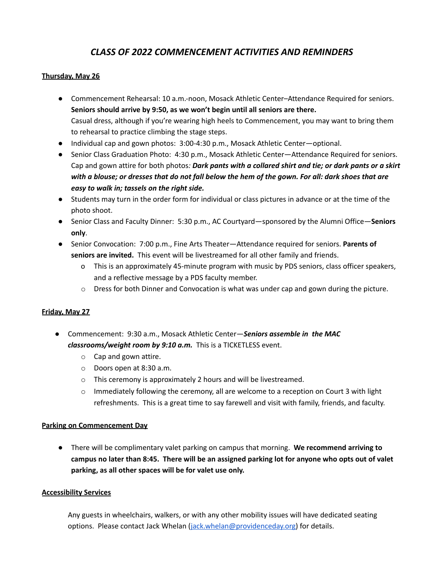# *CLASS OF 2022 COMMENCEMENT ACTIVITIES AND REMINDERS*

### **Thursday, May 26**

- Commencement Rehearsal: 10 a.m.-noon, Mosack Athletic Center–Attendance Required for seniors. **Seniors should arrive by 9:50, as we won't begin until all seniors are there.** Casual dress, although if you're wearing high heels to Commencement, you may want to bring them to rehearsal to practice climbing the stage steps.
- Individual cap and gown photos: 3:00-4:30 p.m., Mosack Athletic Center—optional.
- Senior Class Graduation Photo: 4:30 p.m., Mosack Athletic Center—Attendance Required for seniors. Cap and gown attire for both photos*: Dark pants with a collared shirt and tie; or dark pants or a skirt* with a blouse; or dresses that do not fall below the hem of the gown. For all: dark shoes that are *easy to walk in; tassels on the right side.*
- Students may turn in the order form for individual or class pictures in advance or at the time of the photo shoot.
- Senior Class and Faculty Dinner: 5:30 p.m., AC Courtyard—sponsored by the Alumni Office—**Seniors only**.
- Senior Convocation: 7:00 p.m., Fine Arts Theater—Attendance required for seniors. **Parents of seniors are invited.** This event will be livestreamed for all other family and friends.
	- o This is an approximately 45-minute program with music by PDS seniors, class officer speakers, and a reflective message by a PDS faculty member.
	- $\circ$  Dress for both Dinner and Convocation is what was under cap and gown during the picture.

#### **Friday, May 27**

- Commencement: 9:30 a.m., Mosack Athletic Center—*Seniors assemble in the MAC classrooms/weight room by 9:10 a.m.* This is a TICKETLESS event.
	- o Cap and gown attire.
	- o Doors open at 8:30 a.m.
	- o This ceremony is approximately 2 hours and will be livestreamed.
	- $\circ$  Immediately following the ceremony, all are welcome to a reception on Court 3 with light refreshments. This is a great time to say farewell and visit with family, friends, and faculty.

#### **Parking on Commencement Day**

● There will be complimentary valet parking on campus that morning. **We recommend arriving to** campus no later than 8:45. There will be an assigned parking lot for anyone who opts out of valet **parking, as all other spaces will be for valet use only.**

#### **Accessibility Services**

Any guests in wheelchairs, walkers, or with any other mobility issues will have dedicated seating options. Please contact Jack Whelan [\(jack.whelan@providenceday.org\)](mailto:jack.whelan@providenceday.org) for details.